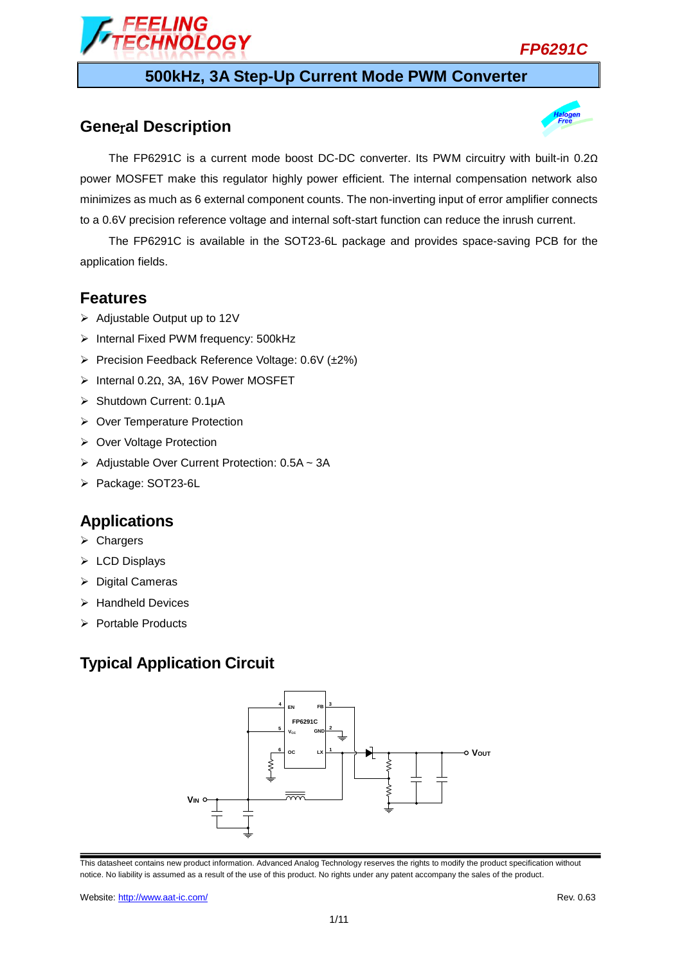

# **500kHz, 3A Step-Up Current Mode PWM Converter**

## **Gene**r**al Description**



The FP6291C is a current mode boost DC-DC converter. Its PWM circuitry with built-in 0.2Ω power MOSFET make this regulator highly power efficient. The internal compensation network also minimizes as much as 6 external component counts. The non-inverting input of error amplifier connects to a 0.6V precision reference voltage and internal soft-start function can reduce the inrush current.

The FP6291C is available in the SOT23-6L package and provides space-saving PCB for the application fields.

### **Features**

- $\triangleright$  Adjustable Output up to 12V
- $\triangleright$  Internal Fixed PWM frequency: 500kHz
- Precision Feedback Reference Voltage: 0.6V (±2%)

*IOLOGY* 

- Internal 0.2Ω, 3A, 16V Power MOSFET
- Shutdown Current: 0.1μA
- ▶ Over Temperature Protection
- ▶ Over Voltage Protection
- $\triangleright$  Adjustable Over Current Protection: 0.5A ~ 3A
- Package: SOT23-6L

### **Applications**

- $\triangleright$  Chargers
- $\triangleright$  LCD Displays
- $\triangleright$  Digital Cameras
- $\triangleright$  Handheld Devices
- $\triangleright$  Portable Products

## **Typical Application Circuit**

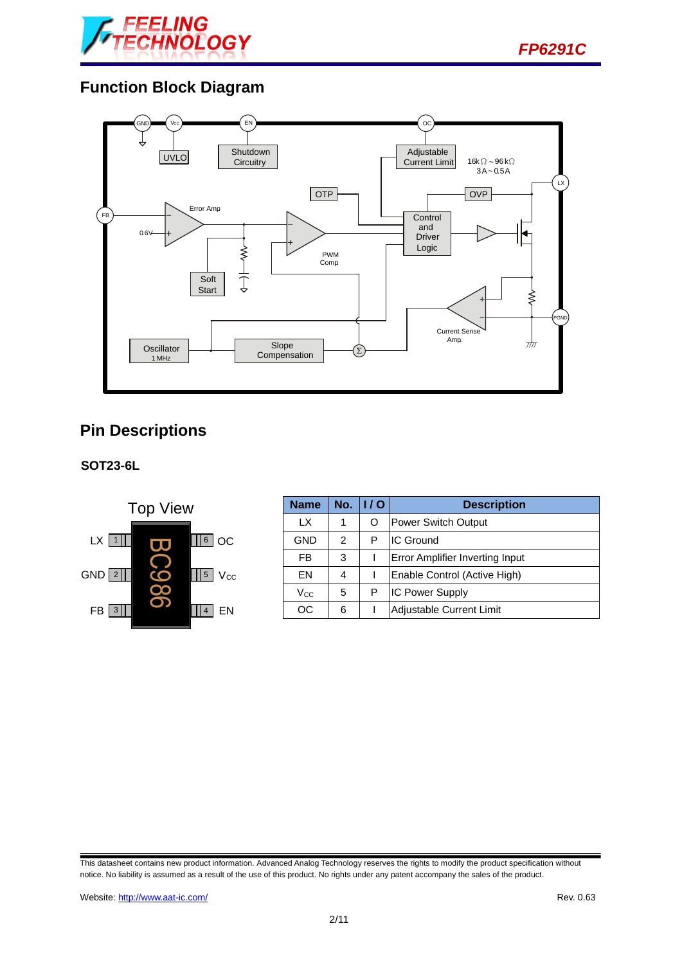



## **Function Block Diagram**



## **Pin Descriptions**

**SOT23-6L**



| <b>Name</b> | No. | 1/O | <b>Description</b>                     |  |
|-------------|-----|-----|----------------------------------------|--|
| LX.         |     | O   | <b>Power Switch Output</b>             |  |
| <b>GND</b>  | 2   | Р   | <b>IC Ground</b>                       |  |
| FB          | 3   |     | <b>Error Amplifier Inverting Input</b> |  |
| EN          | 4   |     | Enable Control (Active High)           |  |
| Vcc         | 5   | P   | <b>IC Power Supply</b>                 |  |
| ОC          | 6   |     | Adjustable Current Limit               |  |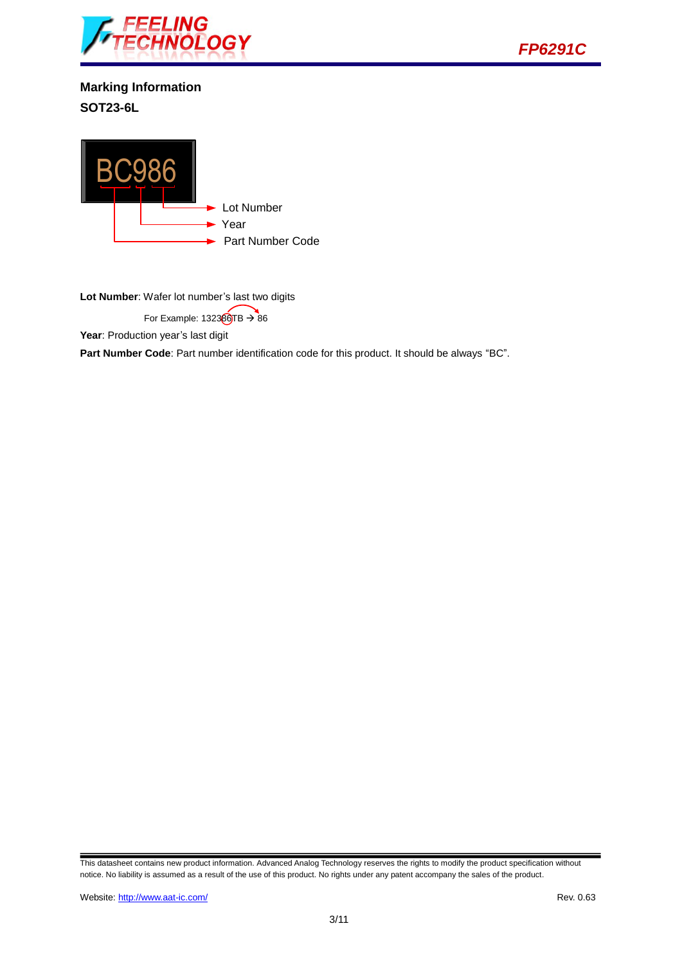

*FP6291C*

**Marking Information SOT23-6L**



**Lot Number**: Wafer lot number's last two digits

For Example:  $132360TB \rightarrow 86$ 

Year: Production year's last digit

**Part Number Code**: Part number identification code for this product. It should be always "BC".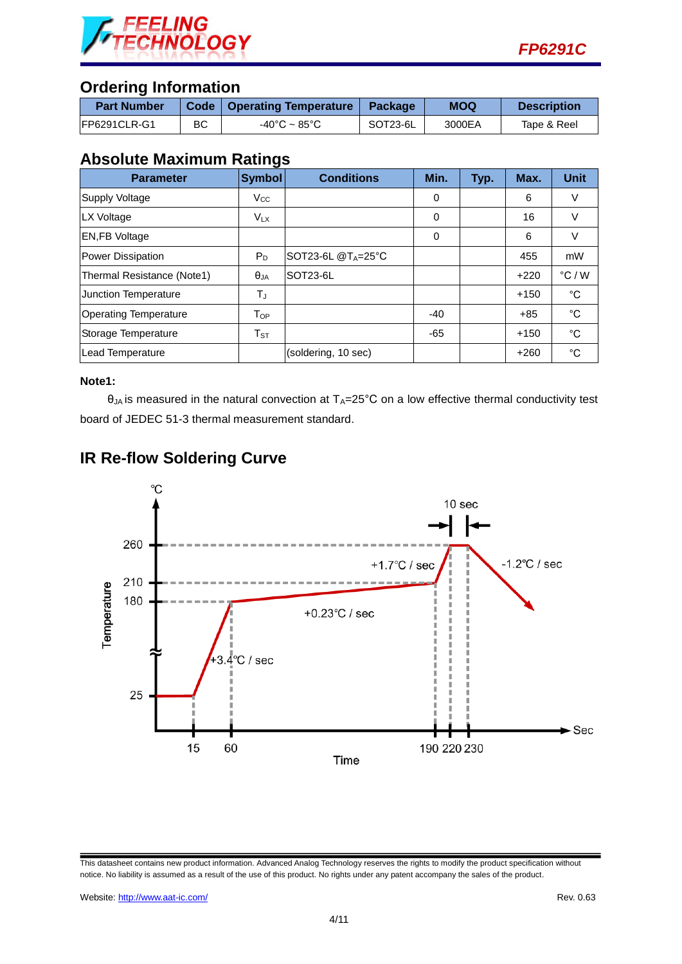

## **Ordering Information**

| <b>Part Number</b> |    | <b>Code   Operating Temperature  </b> | Package  | <b>MOQ</b> | <b>Description</b> |
|--------------------|----|---------------------------------------|----------|------------|--------------------|
| IFP6291CLR-G1      | ВC | $-40^{\circ}$ C ~ 85 $^{\circ}$ C     | SOT23-6L | 3000EA     | Tape & Reel        |

### **Absolute Maximum Ratings**

| <b>Parameter</b>             | <b>Symbol</b> | <b>Conditions</b>          | Min.     | Typ. | Max.   | <b>Unit</b>     |
|------------------------------|---------------|----------------------------|----------|------|--------|-----------------|
| Supply Voltage               | $V_{\rm CC}$  |                            | 0        |      | 6      | V               |
| LX Voltage                   | $V_{LX}$      |                            | 0        |      | 16     | V               |
| <b>EN,FB Voltage</b>         |               |                            | $\Omega$ |      | 6      | V               |
| Power Dissipation            | $P_D$         | SOT23-6L $@T_A=25^\circ C$ |          |      | 455    | mW              |
| Thermal Resistance (Note1)   | $\theta_{JA}$ | SOT23-6L                   |          |      | $+220$ | $\degree$ C / W |
| Junction Temperature         | TJ            |                            |          |      | $+150$ | $^{\circ}$ C    |
| <b>Operating Temperature</b> | $T_{OP}$      |                            | $-40$    |      | $+85$  | $^{\circ}$ C    |
| Storage Temperature          | $T_{ST}$      |                            | -65      |      | $+150$ | $^{\circ}C$     |
| Lead Temperature             |               | (soldering, 10 sec)        |          |      | $+260$ | $^{\circ}$ C    |

#### **Note1:**

 $\theta_{JA}$  is measured in the natural convection at  $T_A=25^{\circ}C$  on a low effective thermal conductivity test board of JEDEC 51-3 thermal measurement standard.





This datasheet contains new product information. Advanced Analog Technology reserves the rights to modify the product specification without notice. No liability is assumed as a result of the use of this product. No rights under any patent accompany the sales of the product.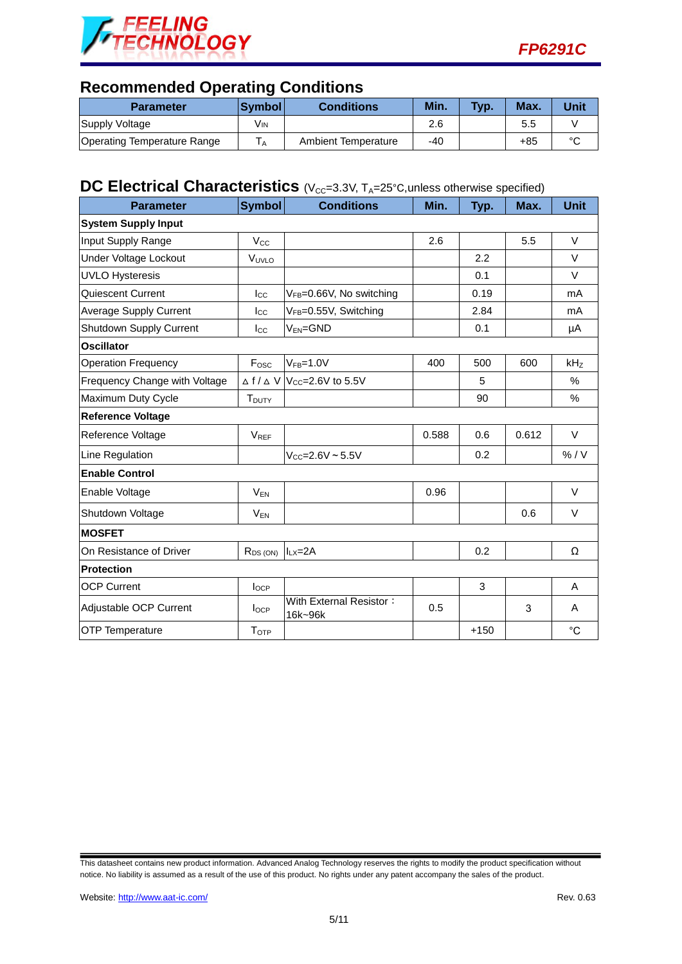



## **Recommended Operating Conditions**

| <b>Parameter</b>                   | ∣Svmbol l | <b>Conditions</b>   | Min. | Typ. | Max. | Unit   |
|------------------------------------|-----------|---------------------|------|------|------|--------|
| Supply Voltage                     | Vın       |                     | 2.6  |      | 5.5  |        |
| <b>Operating Temperature Range</b> | ΙA.       | Ambient Temperature | -40  |      | +85  | $\sim$ |

# **DC** Electrical Characteristics (V<sub>CC</sub>=3.3V, T<sub>A</sub>=25°C, unless otherwise specified)

| <b>Parameter</b>              | <b>Symbol</b>     | <b>Conditions</b>                                     | Min.  | Typ.   | Max.  | <b>Unit</b> |  |
|-------------------------------|-------------------|-------------------------------------------------------|-------|--------|-------|-------------|--|
| <b>System Supply Input</b>    |                   |                                                       |       |        |       |             |  |
| Input Supply Range            | $V_{\rm CC}$      |                                                       | 2.6   |        | 5.5   | $\vee$      |  |
| Under Voltage Lockout         | VUVLO             |                                                       |       | 2.2    |       | $\vee$      |  |
| <b>UVLO Hysteresis</b>        |                   |                                                       |       | 0.1    |       | $\vee$      |  |
| Quiescent Current             | $_{\rm lcc}$      | VFB=0.66V, No switching                               |       | 0.19   |       | mA          |  |
| <b>Average Supply Current</b> | $_{\rm lcc}$      | V <sub>FB</sub> =0.55V, Switching                     |       | 2.84   |       | mA          |  |
| Shutdown Supply Current       | $I_{\rm CC}$      | $V_{EN} = GND$                                        |       | 0.1    |       | μA          |  |
| <b>Oscillator</b>             |                   |                                                       |       |        |       |             |  |
| <b>Operation Frequency</b>    | Fosc              | $VFB=1.0V$                                            | 400   | 500    | 600   | kHz         |  |
| Frequency Change with Voltage |                   | $\triangle$ f / $\triangle$ V $ V_{CC}=2.6$ V to 5.5V |       | 5      |       | %           |  |
| Maximum Duty Cycle            | T <sub>DUTY</sub> |                                                       |       | 90     |       | %           |  |
| <b>Reference Voltage</b>      |                   |                                                       |       |        |       |             |  |
| Reference Voltage             | $V_{REF}$         |                                                       | 0.588 | 0.6    | 0.612 | $\vee$      |  |
| Line Regulation               |                   | $V_{CC} = 2.6V - 5.5V$                                |       | 0.2    |       | % / V       |  |
| <b>Enable Control</b>         |                   |                                                       |       |        |       |             |  |
| Enable Voltage                | $V_{EN}$          |                                                       | 0.96  |        |       | V           |  |
| Shutdown Voltage              | $V_{EN}$          |                                                       |       |        | 0.6   | V           |  |
| <b>MOSFET</b>                 |                   |                                                       |       |        |       |             |  |
| On Resistance of Driver       | $R_{DS(ON)}$      | $I_{LX}=2A$                                           |       | 0.2    |       | Ω           |  |
| <b>Protection</b>             |                   |                                                       |       |        |       |             |  |
| <b>OCP Current</b>            | $I_{OCP}$         |                                                       |       | 3      |       | A           |  |
| Adjustable OCP Current        | $I_{OCP}$         | With External Resistor:<br>16k~96k                    | 0.5   |        | 3     | A           |  |
| <b>OTP Temperature</b>        | TOTP              |                                                       |       | $+150$ |       | $^{\circ}C$ |  |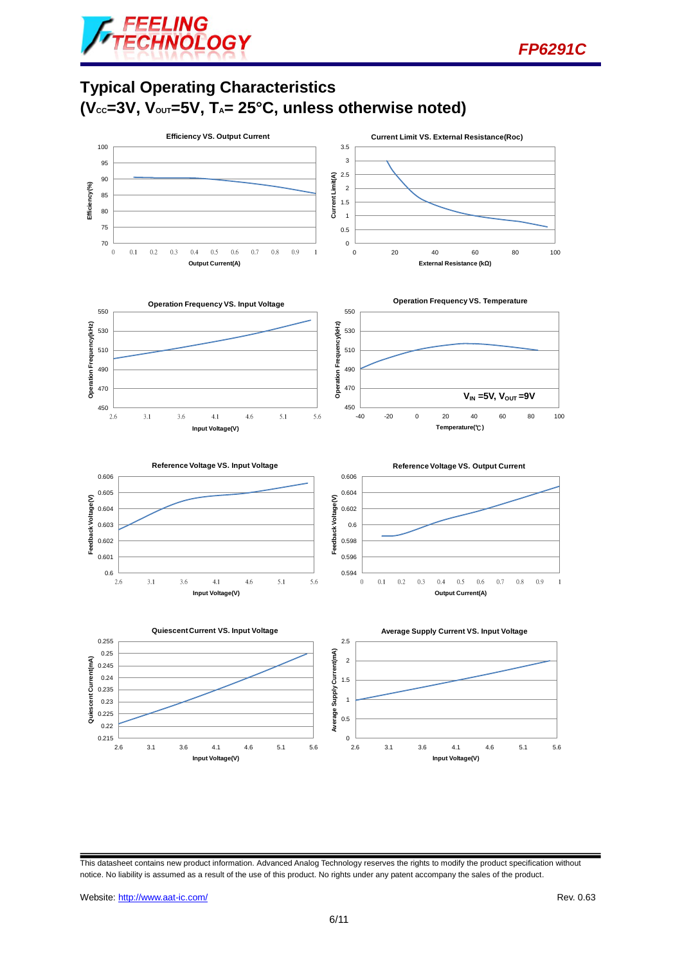

**Typical Operating Characteristics (VCC=3V, VOUT=5V, TA= 25°C, unless otherwise noted)**



This datasheet contains new product information. Advanced Analog Technology reserves the rights to modify the product specification without notice. No liability is assumed as a result of the use of this product. No rights under any patent accompany the sales of the product.

*FP6291C*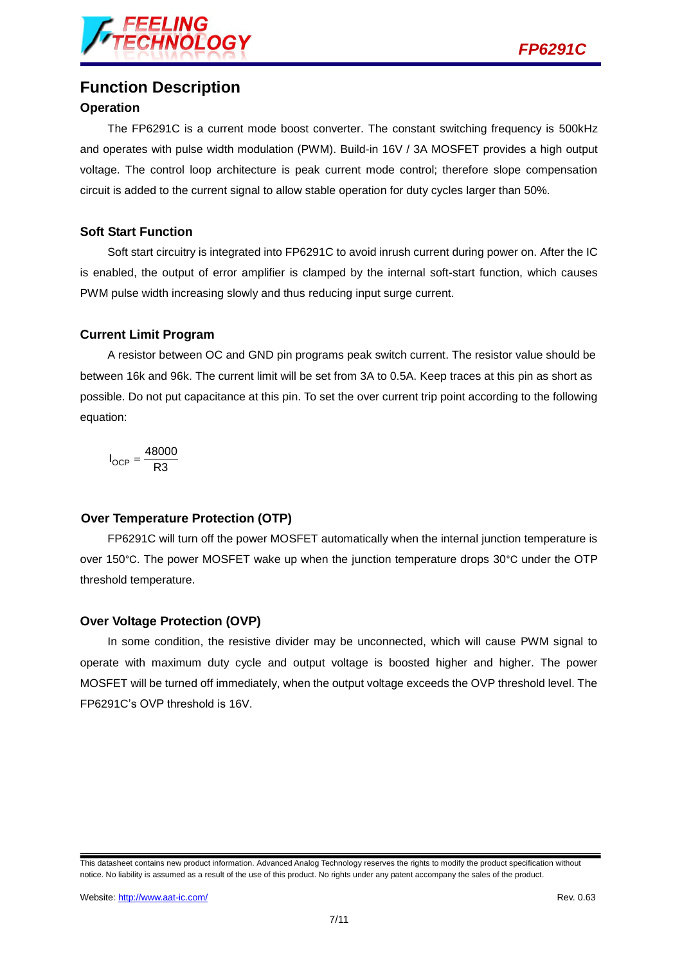

## **Function Description**

#### **Operation**

The FP6291C is a current mode boost converter. The constant switching frequency is 500kHz and operates with pulse width modulation (PWM). Build-in 16V / 3A MOSFET provides a high output voltage. The control loop architecture is peak current mode control; therefore slope compensation circuit is added to the current signal to allow stable operation for duty cycles larger than 50%.

#### **Soft Start Function**

Soft start circuitry is integrated into FP6291C to avoid inrush current during power on. After the IC is enabled, the output of error amplifier is clamped by the internal soft-start function, which causes PWM pulse width increasing slowly and thus reducing input surge current.

#### **Current Limit Program**

A resistor between OC and GND pin programs peak switch current. The resistor value should be between 16k and 96k. The current limit will be set from 3A to 0.5A. Keep traces at this pin as short as possible. Do not put capacitance at this pin. To set the over current trip point according to the following equation:

$$
I_{OCP} = \frac{48000}{R3}
$$

#### **Over Temperature Protection (OTP)**

FP6291C will turn off the power MOSFET automatically when the internal junction temperature is over 150°C. The power MOSFET wake up when the junction temperature drops 30°C under the OTP threshold temperature.

#### **Over Voltage Protection (OVP)**

In some condition, the resistive divider may be unconnected, which will cause PWM signal to operate with maximum duty cycle and output voltage is boosted higher and higher. The power MOSFET will be turned off immediately, when the output voltage exceeds the OVP threshold level. The FP6291C's OVP threshold is 16V.

This datasheet contains new product information. Advanced Analog Technology reserves the rights to modify the product specification without notice. No liability is assumed as a result of the use of this product. No rights under any patent accompany the sales of the product.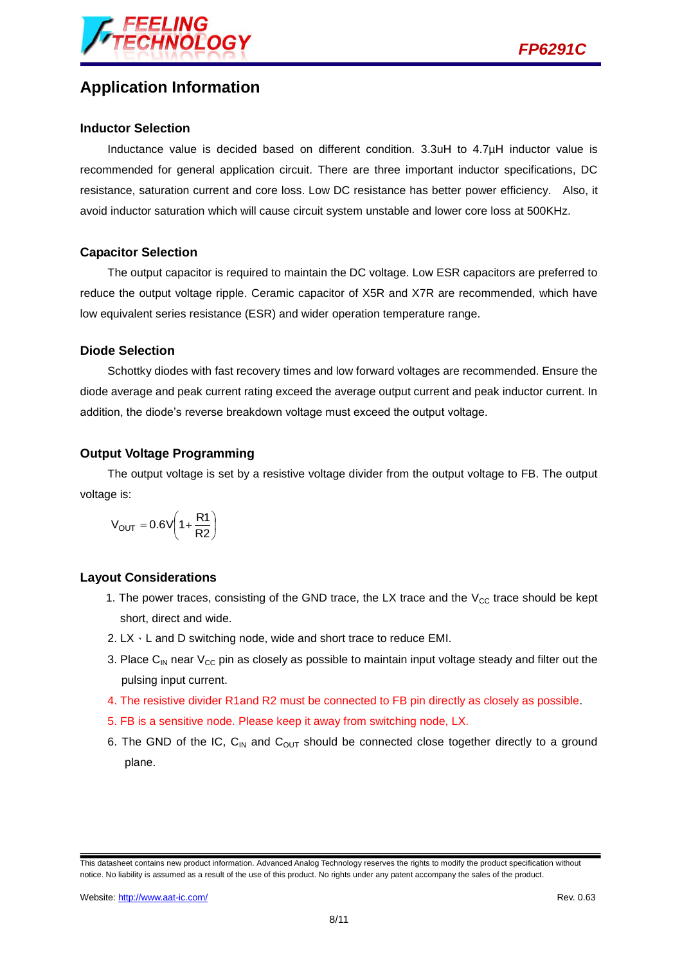

## **Application Information**

#### **Inductor Selection**

Inductance value is decided based on different condition. 3.3uH to 4.7µH inductor value is recommended for general application circuit. There are three important inductor specifications, DC resistance, saturation current and core loss. Low DC resistance has better power efficiency. Also, it avoid inductor saturation which will cause circuit system unstable and lower core loss at 500KHz.

#### **Capacitor Selection**

The output capacitor is required to maintain the DC voltage. Low ESR capacitors are preferred to reduce the output voltage ripple. Ceramic capacitor of X5R and X7R are recommended, which have low equivalent series resistance (ESR) and wider operation temperature range.

#### **Diode Selection**

Schottky diodes with fast recovery times and low forward voltages are recommended. Ensure the diode average and peak current rating exceed the average output current and peak inductor current. In addition, the diode's reverse breakdown voltage must exceed the output voltage.

#### **Output Voltage Programming**

The output voltage is set by a resistive voltage divider from the output voltage to FB. The output voltage is:

$$
V_{OUT} = 0.6V \left(1 + \frac{R1}{R2}\right)
$$

#### **Layout Considerations**

- 1. The power traces, consisting of the GND trace, the LX trace and the  $V_{CC}$  trace should be kept short, direct and wide.
- 2. LX、L and D switching node, wide and short trace to reduce EMI.
- 3. Place C<sub>IN</sub> near V<sub>CC</sub> pin as closely as possible to maintain input voltage steady and filter out the pulsing input current.
- 4. The resistive divider R1and R2 must be connected to FB pin directly as closely as possible.
- 5. FB is a sensitive node. Please keep it away from switching node, LX.
- 6. The GND of the IC,  $C_{IN}$  and  $C_{OUT}$  should be connected close together directly to a ground plane.

This datasheet contains new product information. Advanced Analog Technology reserves the rights to modify the product specification without notice. No liability is assumed as a result of the use of this product. No rights under any patent accompany the sales of the product.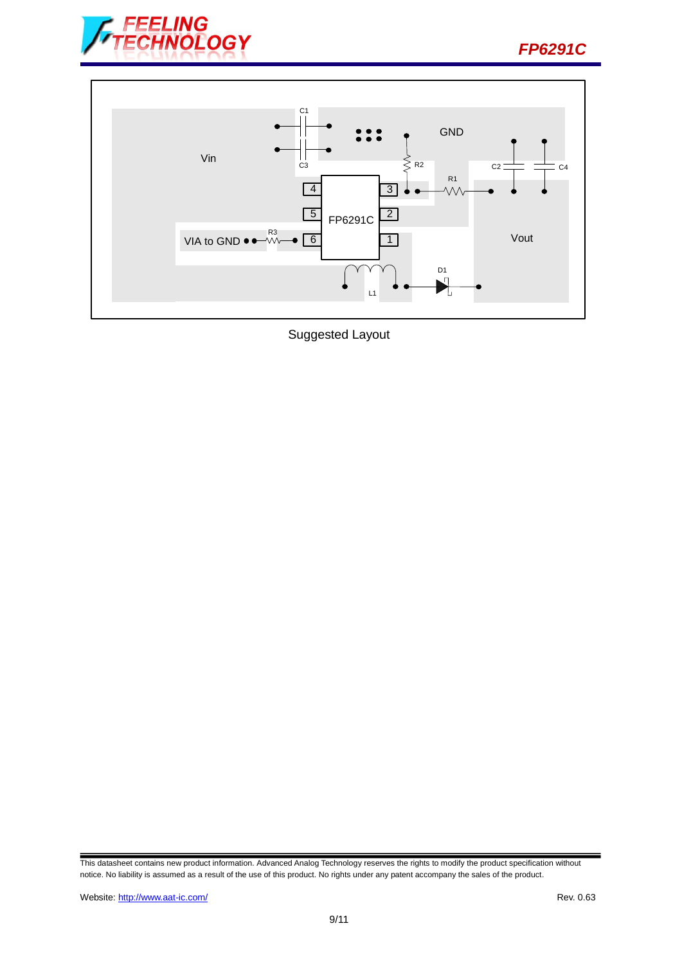





Suggested Layout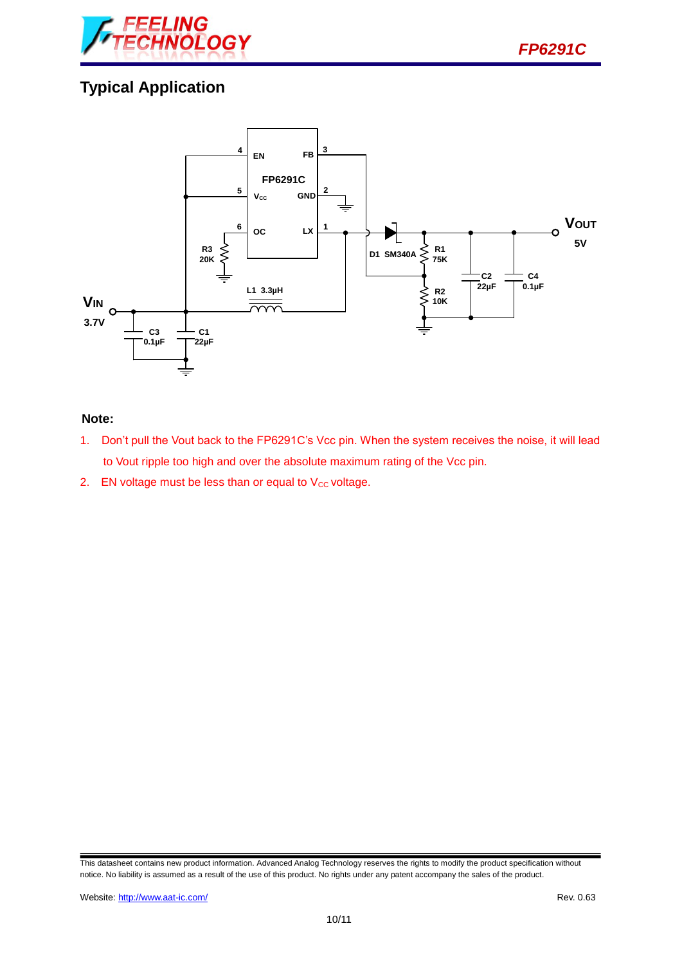

# **Typical Application**



#### **Note:**

- 1. Don't pull the Vout back to the FP6291C's Vcc pin. When the system receives the noise, it will lead to Vout ripple too high and over the absolute maximum rating of the Vcc pin.
- 2. EN voltage must be less than or equal to  $V_{CC}$  voltage.